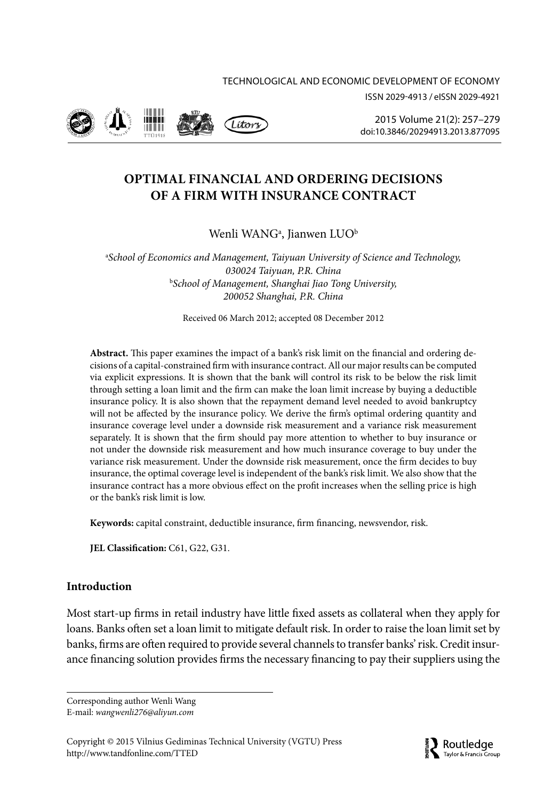ISSN 2029-4913 / eISSN 2029-4921



2015 Volume 21(2): 257–279 [doi:10.3846/20294913.2013.877095](http://dx.doi.org/10.3846/20294913.2013.877095)

# **OPTIMAL FINANCIAL AND ORDERING DECISIONS OF A FIRM WITH INSURANCE CONTRACT**

Wenli WANG<sup>a</sup>, Jianwen LUO<sup>b</sup>

a *School of Economics and Management, Taiyuan University of Science and Technology, 030024 Taiyuan, P.R. China* b *School of Management, Shanghai Jiao Tong University, 200052 Shanghai, P.R. China*

Received 06 March 2012; accepted 08 December 2012

**Abstract.** This paper examines the impact of a bank's risk limit on the financial and ordering decisions of a capital-constrained firm with insurance contract. All our major results can be computed via explicit expressions. It is shown that the bank will control its risk to be below the risk limit through setting a loan limit and the firm can make the loan limit increase by buying a deductible insurance policy. It is also shown that the repayment demand level needed to avoid bankruptcy will not be affected by the insurance policy. We derive the firm's optimal ordering quantity and insurance coverage level under a downside risk measurement and a variance risk measurement separately. It is shown that the firm should pay more attention to whether to buy insurance or not under the downside risk measurement and how much insurance coverage to buy under the variance risk measurement. Under the downside risk measurement, once the firm decides to buy insurance, the optimal coverage level is independent of the bank's risk limit. We also show that the insurance contract has a more obvious effect on the profit increases when the selling price is high or the bank's risk limit is low.

**Keywords:** capital constraint, deductible insurance, firm financing, newsvendor, risk.

**JEL Classification:** C61, G22, G31.

# **Introduction**

Most start-up firms in retail industry have little fixed assets as collateral when they apply for loans. Banks often set a loan limit to mitigate default risk. In order to raise the loan limit set by banks, firms are often required to provide several channels to transfer banks' risk. Credit insurance financing solution provides firms the necessary financing to pay their suppliers using the

Corresponding author Wenli Wang E-mail: *[wangwenli276@aliyun.com](mailto:wangwenli276@aliyun.com)*

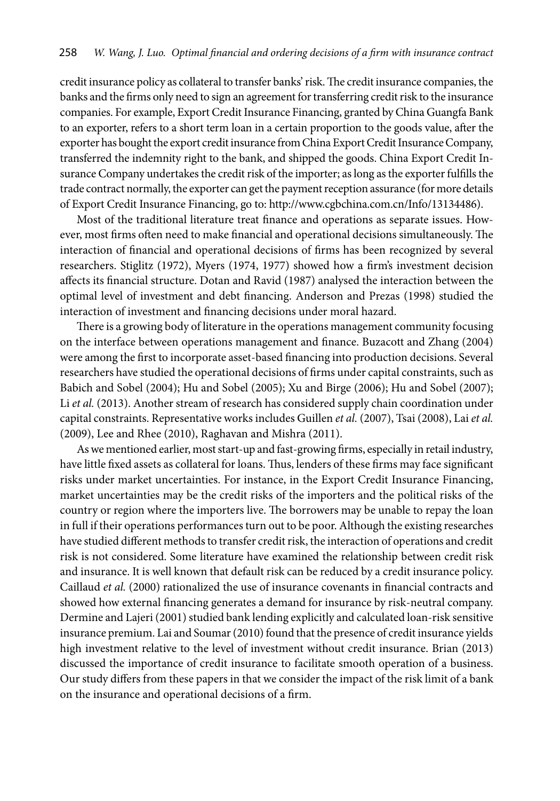credit insurance policy as collateral to transfer banks' risk. The credit insurance companies, the banks and the firms only need to sign an agreement for transferring credit risk to the insurance companies. For example, Export Credit Insurance Financing, granted by China Guangfa Bank to an exporter, refers to a short term loan in a certain proportion to the goods value, after the exporter has bought the export credit insurance from China Export Credit Insurance Company, transferred the indemnity right to the bank, and shipped the goods. China Export Credit Insurance Company undertakes the credit risk of the importer; as long as the exporter fulfills the trade contract normally, the exporter can get the payment reception assurance (for more details of Export Credit Insurance Financing, go to: <http://www.cgbchina.com.cn/Info/13134486>).

Most of the traditional literature treat finance and operations as separate issues. However, most firms often need to make financial and operational decisions simultaneously. The interaction of financial and operational decisions of firms has been recognized by several researchers. Stiglitz (1972), Myers (1974, 1977) showed how a firm's investment decision affects its financial structure. Dotan and Ravid (1987) analysed the interaction between the optimal level of investment and debt financing. Anderson and Prezas (1998) studied the interaction of investment and financing decisions under moral hazard.

There is a growing body of literature in the operations management community focusing on the interface between operations management and finance. Buzacott and Zhang (2004) were among the first to incorporate asset-based financing into production decisions. Several researchers have studied the operational decisions of firms under capital constraints, such as Babich and Sobel (2004); Hu and Sobel (2005); Xu and Birge (2006); Hu and Sobel (2007); Li *et al.* (2013). Another stream of research has considered supply chain coordination under capital constraints. Representative works includes Guillen *et al.* (2007), Tsai (2008), Lai *et al.* (2009), Lee and Rhee (2010), Raghavan and Mishra (2011).

As we mentioned earlier, most start-up and fast-growing firms, especially in retail industry, have little fixed assets as collateral for loans. Thus, lenders of these firms may face significant risks under market uncertainties. For instance, in the Export Credit Insurance Financing, market uncertainties may be the credit risks of the importers and the political risks of the country or region where the importers live. The borrowers may be unable to repay the loan in full if their operations performances turn out to be poor. Although the existing researches have studied different methods to transfer credit risk, the interaction of operations and credit risk is not considered. Some literature have examined the relationship between credit risk and insurance. It is well known that default risk can be reduced by a credit insurance policy. Caillaud *et al.* (2000) rationalized the use of insurance covenants in financial contracts and showed how external financing generates a demand for insurance by risk-neutral company. Dermine and Lajeri (2001) studied bank lending explicitly and calculated loan-risk sensitive insurance premium. Lai and Soumar (2010) found that the presence of credit insurance yields high investment relative to the level of investment without credit insurance. Brian (2013) discussed the importance of credit insurance to facilitate smooth operation of a business. Our study differs from these papers in that we consider the impact of the risk limit of a bank on the insurance and operational decisions of a firm.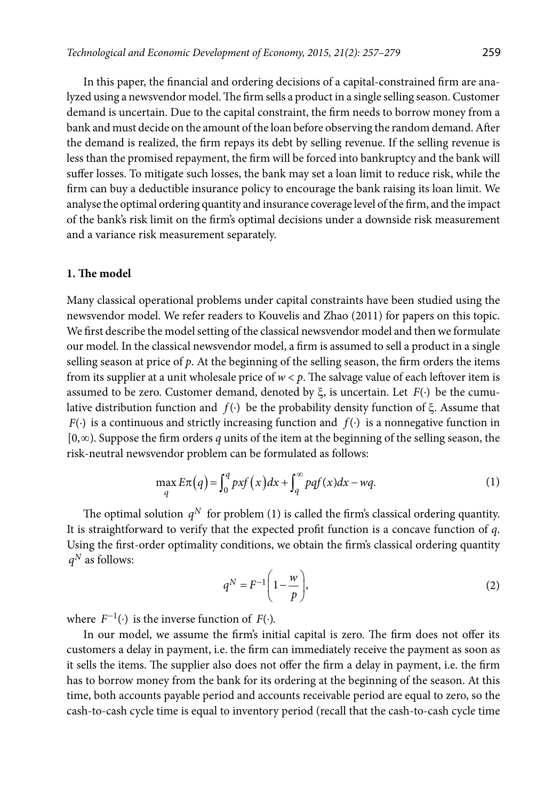In this paper, the financial and ordering decisions of a capital-constrained firm are analyzed using a newsvendor model. The firm sells a product in a single selling season. Customer demand is uncertain. Due to the capital constraint, the firm needs to borrow money from a bank and must decide on the amount of the loan before observing the random demand. After the demand is realized, the firm repays its debt by selling revenue. If the selling revenue is less than the promised repayment, the firm will be forced into bankruptcy and the bank will suffer losses. To mitigate such losses, the bank may set a loan limit to reduce risk, while the firm can buy a deductible insurance policy to encourage the bank raising its loan limit. We analyse the optimal ordering quantity and insurance coverage level of the firm, and the impact of the bank's risk limit on the firm's optimal decisions under a downside risk measurement and a variance risk measurement separately.

# **1. The model**

Many classical operational problems under capital constraints have been studied using the newsvendor model. We refer readers to Kouvelis and Zhao (2011) for papers on this topic. We first describe the model setting of the classical newsvendor model and then we formulate our model. In the classical newsvendor model, a firm is assumed to sell a product in a single selling season at price of *p*. At the beginning of the selling season, the firm orders the items from its supplier at a unit wholesale price of  $w < p$ . The salvage value of each leftover item is assumed to be zero. Customer demand, denoted by  $\xi$ , is uncertain. Let  $F(\cdot)$  be the cumulative distribution function and *f*( )⋅ be the probability density function of ξ. Assume that  $F(\cdot)$  is a continuous and strictly increasing function and  $f(\cdot)$  is a nonnegative function in [0, $\infty$ ). Suppose the firm orders *q* units of the item at the beginning of the selling season, the risk-neutral newsvendor problem can be formulated as follows:

$$
\max_{q} E\pi(q) = \int_{0}^{q} pxf(x)dx + \int_{q}^{\infty} pqf(x)dx - wq.
$$
 (1)

The optimal solution  $q^N$  for problem (1) is called the firm's classical ordering quantity. It is straightforward to verify that the expected profit function is a concave function of *q*. Using the first-order optimality conditions, we obtain the firm's classical ordering quantity  $q^N$  as follows:

$$
q^N = F^{-1} \left( 1 - \frac{w}{p} \right),\tag{2}
$$

where  $F^{-1}(\cdot)$  is the inverse function of  $F(\cdot)$ .

In our model, we assume the firm's initial capital is zero. The firm does not offer its customers a delay in payment, i.e. the firm can immediately receive the payment as soon as it sells the items. The supplier also does not offer the firm a delay in payment, i.e. the firm has to borrow money from the bank for its ordering at the beginning of the season. At this time, both accounts payable period and accounts receivable period are equal to zero, so the cash-to-cash cycle time is equal to inventory period (recall that the cash-to-cash cycle time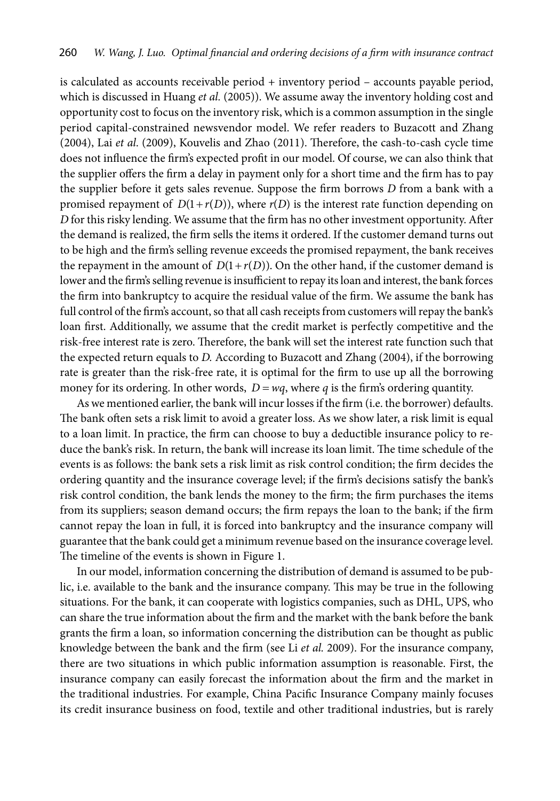is calculated as accounts receivable period + inventory period – accounts payable period, which is discussed in Huang *et al.* (2005)). We assume away the inventory holding cost and opportunity cost to focus on the inventory risk, which is a common assumption in the single period capital-constrained newsvendor model. We refer readers to Buzacott and Zhang (2004), Lai *et al*. (2009), Kouvelis and Zhao (2011). Therefore, the cash-to-cash cycle time does not influence the firm's expected profit in our model. Of course, we can also think that the supplier offers the firm a delay in payment only for a short time and the firm has to pay the supplier before it gets sales revenue. Suppose the firm borrows *D* from a bank with a promised repayment of  $D(1 + r(D))$ , where  $r(D)$  is the interest rate function depending on *D* for this risky lending. We assume that the firm has no other investment opportunity. After the demand is realized, the firm sells the items it ordered. If the customer demand turns out to be high and the firm's selling revenue exceeds the promised repayment, the bank receives the repayment in the amount of  $D(1 + r(D))$ . On the other hand, if the customer demand is lower and the firm's selling revenue is insufficient to repay its loan and interest, the bank forces the firm into bankruptcy to acquire the residual value of the firm. We assume the bank has full control of the firm's account, so that all cash receipts from customers will repay the bank's loan first. Additionally, we assume that the credit market is perfectly competitive and the risk-free interest rate is zero. Therefore, the bank will set the interest rate function such that the expected return equals to *D.* According to Buzacott and Zhang (2004), if the borrowing rate is greater than the risk-free rate, it is optimal for the firm to use up all the borrowing money for its ordering. In other words,  $D = wq$ , where *q* is the firm's ordering quantity.

As we mentioned earlier, the bank will incur losses if the firm (i.e. the borrower) defaults. The bank often sets a risk limit to avoid a greater loss. As we show later, a risk limit is equal to a loan limit. In practice, the firm can choose to buy a deductible insurance policy to reduce the bank's risk. In return, the bank will increase its loan limit. The time schedule of the events is as follows: the bank sets a risk limit as risk control condition; the firm decides the ordering quantity and the insurance coverage level; if the firm's decisions satisfy the bank's risk control condition, the bank lends the money to the firm; the firm purchases the items from its suppliers; season demand occurs; the firm repays the loan to the bank; if the firm cannot repay the loan in full, it is forced into bankruptcy and the insurance company will guarantee that the bank could get a minimum revenue based on the insurance coverage level. The timeline of the events is shown in Figure 1.

In our model, information concerning the distribution of demand is assumed to be public, i.e. available to the bank and the insurance company. This may be true in the following situations. For the bank, it can cooperate with logistics companies, such as DHL, UPS, who can share the true information about the firm and the market with the bank before the bank grants the firm a loan, so information concerning the distribution can be thought as public knowledge between the bank and the firm (see Li *et al.* 2009). For the insurance company, there are two situations in which public information assumption is reasonable. First, the insurance company can easily forecast the information about the firm and the market in the traditional industries. For example, China Pacific Insurance Company mainly focuses its credit insurance business on food, textile and other traditional industries, but is rarely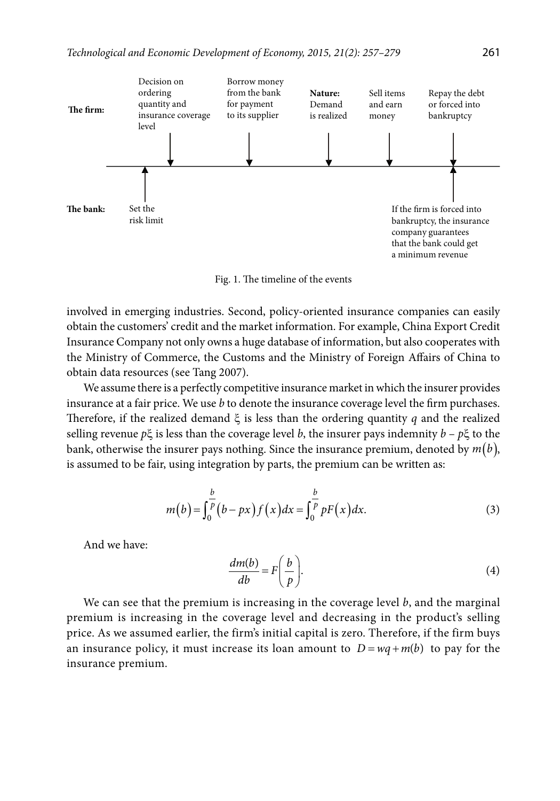

Fig. 1. The timeline of the events

involved in emerging industries. Second, policy-oriented insurance companies can easily obtain the customers' credit and the market information. For example, China Export Credit Insurance Company not only owns a huge database of information, but also cooperates with the Ministry of Commerce, the Customs and the Ministry of Foreign Affairs of China to obtain data resources (see Tang 2007).

We assume there is a perfectly competitive insurance market in which the insurer provides insurance at a fair price. We use *b* to denote the insurance coverage level the firm purchases. Therefore, if the realized demand ξ is less than the ordering quantity *q* and the realized selling revenue *p*ξ is less than the coverage level *b*, the insurer pays indemnity *b* – *p*ξ to the bank, otherwise the insurer pays nothing. Since the insurance premium, denoted by  $m(b)$ , is assumed to be fair, using integration by parts, the premium can be written as:

$$
m(b) = \int_0^{\frac{b}{p}} (b - px) f(x) dx = \int_0^{\frac{b}{p}} pF(x) dx.
$$
 (3)

And we have:

$$
\frac{dm(b)}{db} = F\bigg(\frac{b}{p}\bigg). \tag{4}
$$

We can see that the premium is increasing in the coverage level *b*, and the marginal premium is increasing in the coverage level and decreasing in the product's selling price. As we assumed earlier, the firm's initial capital is zero. Therefore, if the firm buys an insurance policy, it must increase its loan amount to  $D = wq + m(b)$  to pay for the insurance premium.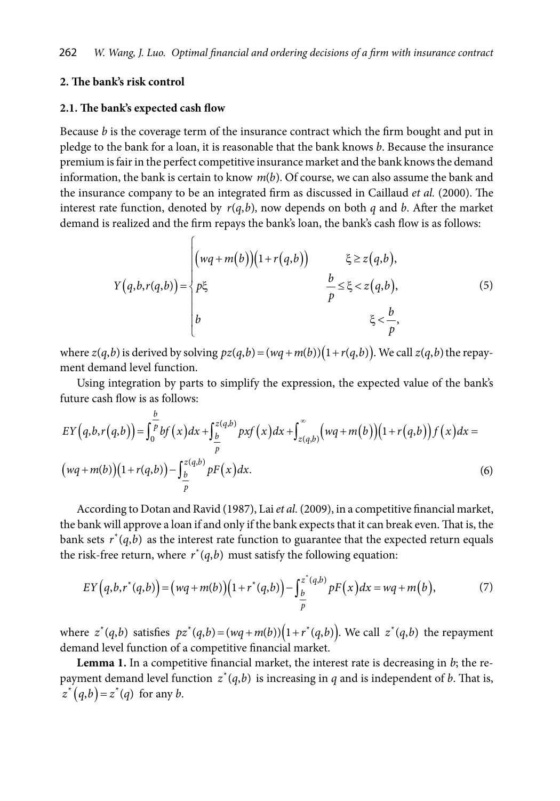# **2. The bank's risk control**

#### **2.1. The bank's expected cash flow**

Because *b* is the coverage term of the insurance contract which the firm bought and put in pledge to the bank for a loan, it is reasonable that the bank knows *b*. Because the insurance premium is fair in the perfect competitive insurance market and the bank knows the demand information, the bank is certain to know  $m(b)$ . Of course, we can also assume the bank and the insurance company to be an integrated firm as discussed in Caillaud *et al.* (2000). The interest rate function, denoted by  $r(q,b)$ , now depends on both *q* and *b*. After the market demand is realized and the firm repays the bank's loan, the bank's cash flow is as follows:

$$
Y(q,b,r(q,b)) = \begin{cases} \n(wq+m(b))(1+r(q,b)) & \xi \ge z(q,b), \\ \np\xi & \frac{b}{p} \le \xi < z(q,b), \\ \nb & \xi < \frac{b}{p}, \n\end{cases} \tag{5}
$$

where  $z(q,b)$  is derived by solving  $pz(q,b) = (wq + m(b))(1 + r(q,b))$ . We call  $z(q,b)$  the repayment demand level function.

Using integration by parts to simplify the expression, the expected value of the bank's future cash flow is as follows:

$$
EY(q,b,r(q,b)) = \int_{0}^{\frac{b}{p}} bf(x)dx + \int_{\frac{b}{p}}^{z(q,b)} pxf(x)dx + \int_{z(q,b)}^{\infty} (wq+m(b))(1+r(q,b))f(x)dx =
$$
  
\n
$$
(wq+m(b))(1+r(q,b)) - \int_{\frac{b}{p}}^{z(q,b)} pF(x)dx.
$$
 (6)

According to Dotan and Ravid (1987), Lai *et al.* (2009), in a competitive financial market, the bank will approve a loan if and only if the bank expects that it can break even. That is, the bank sets  $r^*(q,b)$  as the interest rate function to guarantee that the expected return equals the risk-free return, where  $r^*(q,b)$  must satisfy the following equation:

$$
EY(q, b, r^*(q, b)) = (wq + m(b))(1 + r^*(q, b)) - \int_{\frac{b}{p}}^{z^*(q, b)} pF(x)dx = wq + m(b),
$$
 (7)

where  $z^*(q,b)$  satisfies  $pz^*(q,b) = (wq + m(b))(1 + r^*(q,b))$ . We call  $z^*(q,b)$  the repayment demand level function of a competitive financial market.

**Lemma 1.** In a competitive financial market, the interest rate is decreasing in *b*; the repayment demand level function  $z^*(q,b)$  is increasing in *q* and is independent of *b*. That is,  $z^*(q,b) = z^*(q)$  for any *b*.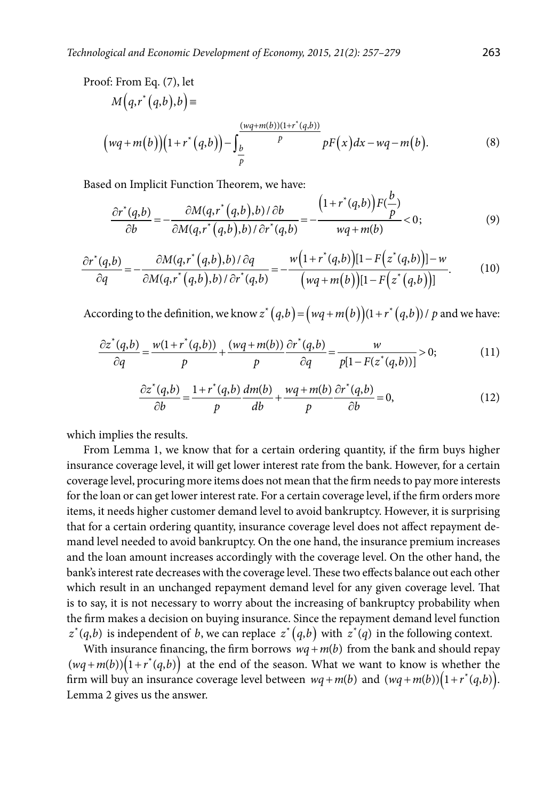Proof: From Eq. (7), let

$$
M\left(q,r^*(q,b),b\right) =
$$
\n
$$
\left(wq+m(b)\right)\left(1+r^*(q,b)\right) - \int_{\frac{b}{p}}^{\frac{(wq+m(b))(1+r^*(q,b))}{p}} pF\left(x\right)dx - wq - m(b).
$$
\n(8)

Based on Implicit Function Theorem, we have:

$$
\frac{\partial r^*(q,b)}{\partial b} = -\frac{\partial M(q,r^*(q,b),b)/\partial b}{\partial M(q,r^*(q,b),b)/\partial r^*(q,b)} = -\frac{\left(1+r^*(q,b)\right)F(\frac{b}{p})}{wq+m(b)} < 0; \tag{9}
$$

$$
\frac{\partial r^*(q,b)}{\partial q} = -\frac{\partial M(q,r^*(q,b),b)/\partial q}{\partial M(q,r^*(q,b),b)/\partial r^*(q,b)} = -\frac{w(1+r^*(q,b))[1-F(z^*(q,b))]-w}{(wq+m(b))[1-F(z^*(q,b))]}.
$$
(10)

According to the definition, we know  $z^*(q,b) = (wq + m(b))(1 + r^*(q,b))$  / p and we have:

$$
\frac{\partial z^*(q,b)}{\partial q} = \frac{w(1+r^*(q,b))}{p} + \frac{(wq+m(b))}{p} \frac{\partial r^*(q,b)}{\partial q} = \frac{w}{p[1-F(z^*(q,b))]}>0; \tag{11}
$$

$$
\frac{\partial z^*(q,b)}{\partial b} = \frac{1+r^*(q,b)}{p}\frac{dm(b)}{db} + \frac{wq+m(b)}{p}\frac{\partial r^*(q,b)}{\partial b} = 0,\tag{12}
$$

which implies the results.

From Lemma 1, we know that for a certain ordering quantity, if the firm buys higher insurance coverage level, it will get lower interest rate from the bank. However, for a certain coverage level, procuring more items does not mean that the firm needs to pay more interests for the loan or can get lower interest rate. For a certain coverage level, if the firm orders more items, it needs higher customer demand level to avoid bankruptcy. However, it is surprising that for a certain ordering quantity, insurance coverage level does not affect repayment demand level needed to avoid bankruptcy. On the one hand, the insurance premium increases and the loan amount increases accordingly with the coverage level. On the other hand, the bank's interest rate decreases with the coverage level. These two effects balance out each other which result in an unchanged repayment demand level for any given coverage level. That is to say, it is not necessary to worry about the increasing of bankruptcy probability when the firm makes a decision on buying insurance. Since the repayment demand level function  $z^*(q,b)$  is independent of *b*, we can replace  $z^*(q,b)$  with  $z^*(q)$  in the following context.

With insurance financing, the firm borrows  $wq + m(b)$  from the bank and should repay  $(wq+m(b))(1+r^*(q,b))$  at the end of the season. What we want to know is whether the firm will buy an insurance coverage level between  $wq + m(b)$  and  $(wq + m(b)) (1 + r^*(q, b)).$ Lemma 2 gives us the answer.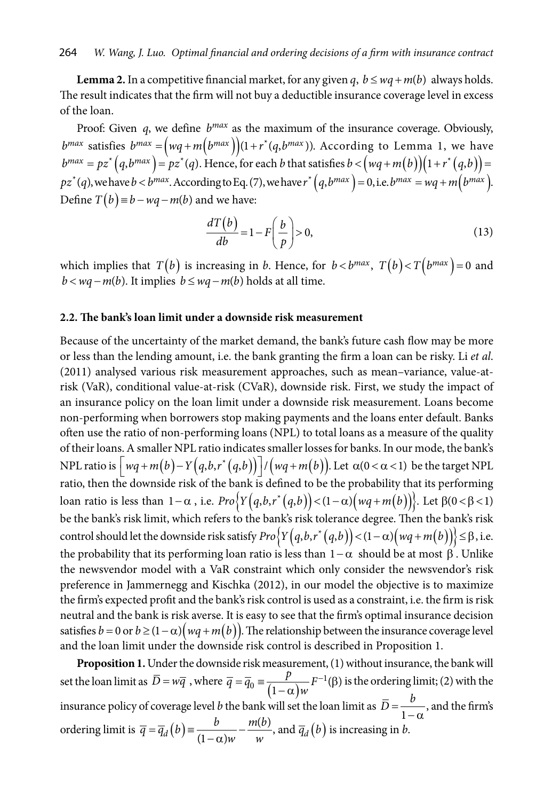**Lemma 2.** In a competitive financial market, for any given *q*,  $b \leq wq + m(b)$  always holds. The result indicates that the firm will not buy a deductible insurance coverage level in excess of the loan.

Proof: Given *q*, we define  $b^{max}$  as the maximum of the insurance coverage. Obviously,  $b^{max}$  satisfies  $b^{max} = (wq + m(b^{max}))(1 + r^{*}(q, b^{max}))$ . According to Lemma 1, we have  $b^{max}=pz^{*}\big(q,b^{max}\big)=pz^{*}(q).$  Hence, for each  $b$  that satisfies  $b<\big(wq+m\big(b\big)\big)\big(1+r^{*}\big(q,b\big)\big)=0$  $pz^*(q)$ , we have  $b < b^{max}$ . According to Eq. (7), we have  $r^*(q, b^{max}) = 0$ , i.e.  $b^{max} = wq + m(b^{max})$ . Define  $T(b) \equiv b - wq - m(b)$  and we have:

$$
\frac{dT(b)}{db} = 1 - F\left(\frac{b}{p}\right) > 0,\tag{13}
$$

which implies that  $T(b)$  is increasing in *b*. Hence, for  $b < b^{max}$ ,  $T(b) < T(b^{max}) = 0$  and  $b < wq - m(b)$ . It implies  $b \leq wq - m(b)$  holds at all time.

# **2.2. The bank's loan limit under a downside risk measurement**

Because of the uncertainty of the market demand, the bank's future cash flow may be more or less than the lending amount, i.e. the bank granting the firm a loan can be risky. Li *et al*. (2011) analysed various risk measurement approaches, such as mean–variance, value-atrisk (VaR), conditional value-at-risk (CVaR), downside risk. First, we study the impact of an insurance policy on the loan limit under a downside risk measurement. Loans become non-performing when borrowers stop making payments and the loans enter default. Banks often use the ratio of non-performing loans (NPL) to total loans as a measure of the quality of their loans. A smaller NPL ratio indicates smaller losses for banks. In our mode, the bank's NPL ratio is  $\left| wq + m(b) - Y(q,b,r^*(q,b)) \right| / (wq + m(b))$ . Let  $\alpha(0 < \alpha < 1)$  be the target NPL ratio, then the downside risk of the bank is defined to be the probability that its performing loan ratio is less than  $1-\alpha$ , i.e.  $Pro\{Y(q,b,r^*(q,b))\leq (1-\alpha)(wq+m(b))\}$ . Let  $\beta(0<\beta<1)$ be the bank's risk limit, which refers to the bank's risk tolerance degree. Then the bank's risk control should let the downside risk satisfy  ${Pro}$   $\{Y(q,b,r^*(q,b))$  <  $(1-\alpha)(wq+m(b))\}$   $\leq \beta$ , i.e. the probability that its performing loan ratio is less than  $1-\alpha$  should be at most  $\beta$ . Unlike the newsvendor model with a VaR constraint which only consider the newsvendor's risk preference in Jammernegg and Kischka (2012), in our model the objective is to maximize the firm's expected profit and the bank's risk control is used as a constraint, i.e. the firm is risk neutral and the bank is risk averse. It is easy to see that the firm's optimal insurance decision satisfies  $b = 0$  or  $b \ge (1 - \alpha)(wq + m(b))$ . The relationship between the insurance coverage level and the loan limit under the downside risk control is described in Proposition 1.

**Proposition 1.** Under the downside risk measurement, (1) without insurance, the bank will set the loan limit as  $\overline{D} = w\overline{q}$ , where  $\overline{q} = \overline{q}_0 = \frac{p}{(1-\alpha)w} F^{-1}(\beta)$  $=\overline{q}_0 \equiv \frac{p}{(1-\alpha)w} F^{-1}(\beta)$  is the ordering limit; (2) with the insurance policy of coverage level *b* the bank will set the loan limit as  $\overline{D} = \frac{b}{1-\alpha}$ , and the firm's ordering limit is  $\overline{q} = \overline{q}_d(b) = \frac{b}{(1-\alpha)w} - \frac{m(b)}{w}$ , and  $\overline{q}_d(b)$  is increasing in *b*.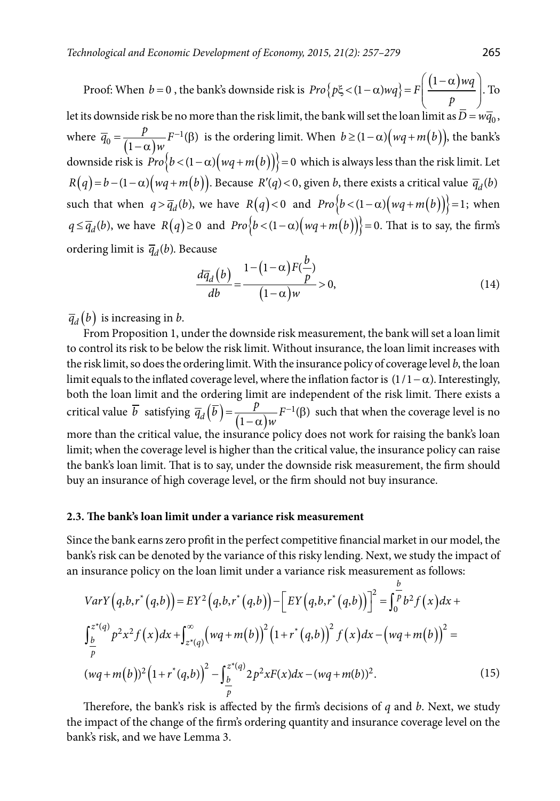Proof: When  $b = 0$ , the bank's downside risk is  $Pro\left\{ p\xi < (1 - \alpha) wq \right\} = F\left( \frac{(1 - \alpha) wq}{p} \right)$  $(1-\alpha)$ wq  $\left|\xi\right|<\left(1-\alpha\right)wq\right\}=F\left|\frac{\xi\left(1-\alpha\right)-1}{\alpha}\right|$  $( P_{-} )$ . To let its downside risk be no more than the risk limit, the bank will set the loan limit as  $\bar{D} = w\bar{q}_0$ , where  $\overline{q}_0 = \frac{p}{(1-\alpha)w} F^{-1}(\beta)$  $=\frac{p}{(1-\alpha)w}F^{-1}(\beta)$  is the ordering limit. When  $b \ge (1-\alpha)\left(wq+m(b)\right)$ , the bank's downside risk is  $Pro{b < (1-\alpha)(wq+m(b))} = 0$  which is always less than the risk limit. Let  $R(q) = b - (1 - \alpha)(wq + m(b))$ . Because  $R'(q) < 0$ , given *b*, there exists a critical value  $\overline{q}_d(b)$ such that when  $q > \overline{q}_d(b)$ , we have  $R(q) < 0$  and  $Pro\{b < (1-\alpha)(wq+m(b))\} = 1$ ; when  $q \leq \overline{q}_d(b)$ , we have  $R(q) \geq 0$  and  $Pro\{b < (1-\alpha)(wq+m(b))\} = 0$ . That is to say, the firm's ordering limit is  $\overline{q}_d(b)$ . Because

$$
\frac{d\overline{q}_d(b)}{db} = \frac{1 - (1 - \alpha)F(\frac{b}{p})}{(1 - \alpha)w} > 0,
$$
\n(14)

 $\overline{q}_d(b)$  is increasing in *b*.

From Proposition 1, under the downside risk measurement, the bank will set a loan limit to control its risk to be below the risk limit. Without insurance, the loan limit increases with the risk limit, so does the ordering limit. With the insurance policy of coverage level *b*, the loan limit equals to the inflated coverage level, where the inflation factor is  $(1/1 - \alpha)$ . Interestingly, both the loan limit and the ordering limit are independent of the risk limit. There exists a critical value  $\overline{b}$  satisfying  $\overline{q}_d(\overline{b}) = \frac{p}{(1-\alpha)w} F^{-1}(\beta)$  $=\frac{p}{(1-\alpha)w}F^{-1}(\beta)$  such that when the coverage level is no more than the critical value, the insurance policy does not work for raising the bank's loan limit; when the coverage level is higher than the critical value, the insurance policy can raise the bank's loan limit. That is to say, under the downside risk measurement, the firm should buy an insurance of high coverage level, or the firm should not buy insurance.

### **2.3. The bank's loan limit under a variance risk measurement**

Since the bank earns zero profit in the perfect competitive financial market in our model, the bank's risk can be denoted by the variance of this risky lending. Next, we study the impact of an insurance policy on the loan limit under a variance risk measurement as follows:

$$
VarY(q,b,r^*(q,b)) = EY^2(q,b,r^*(q,b)) - [EY(q,b,r^*(q,b))]^2 = \int_0^b \frac{b}{p} b^2 f(x) dx +
$$
  

$$
\int_{\frac{b}{p}}^{z^*(q)} p^2 x^2 f(x) dx + \int_{z^*(q)}^{\infty} (wq+m(b))^2 (1+r^*(q,b))^2 f(x) dx - (wq+m(b))^2 =
$$
  

$$
(wq+m(b))^2 (1+r^*(q,b))^2 - \int_{\frac{b}{p}}^{z^*(q)} 2p^2 x F(x) dx - (wq+m(b))^2.
$$
 (15)

Therefore, the bank's risk is affected by the firm's decisions of *q* and *b*. Next, we study the impact of the change of the firm's ordering quantity and insurance coverage level on the bank's risk, and we have Lemma 3.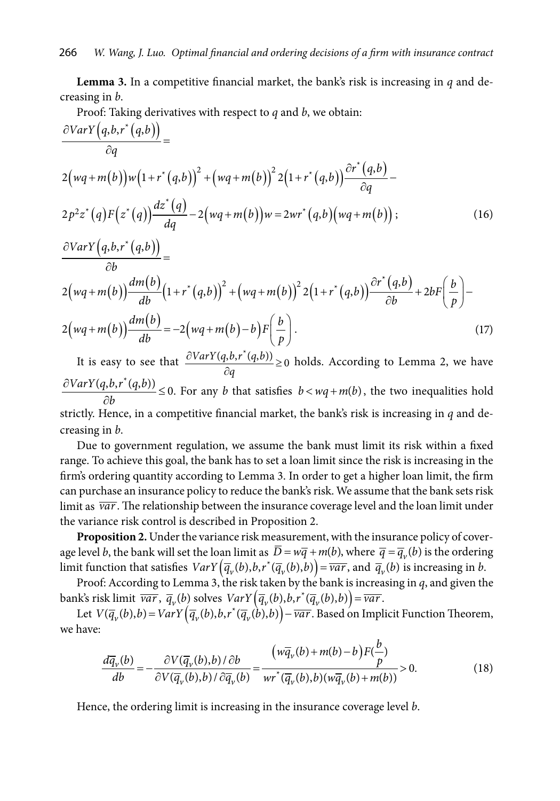**Lemma 3.** In a competitive financial market, the bank's risk is increasing in *q* and decreasing in *b*.

Proof: Taking derivatives with respect to *q* and *b*, we obtain:

$$
\frac{\partial VarY\left(q,b,r^{*}(q,b)\right)}{\partial q} =
$$
\n
$$
2(wq+m(b))w\left(1+r^{*}(q,b)\right)^{2}+\left(wq+m(b)\right)^{2}2\left(1+r^{*}(q,b)\right)\frac{\partial r^{*}(q,b)}{\partial q} - 2p^{2}z^{*}(q)F\left(z^{*}(q)\right)\frac{dz^{*}(q)}{dq} - 2\left(wq+m(b)\right)w = 2wr^{*}(q,b)\left(wq+m(b)\right); \qquad (16)
$$
\n
$$
\frac{\partial VarY\left(q,b,r^{*}(q,b)\right)}{\partial b} =
$$
\n
$$
2(wq+m(b))\frac{dm(b)}{db}\left(1+r^{*}(q,b)\right)^{2}+\left(wq+m(b)\right)^{2}2\left(1+r^{*}(q,b)\right)\frac{\partial r^{*}(q,b)}{\partial b} + 2bF\left(\frac{b}{p}\right) - 2\left(wq+m(b)\right)\frac{dm(b)}{db} = -2\left(wq+m(b)-b\right)F\left(\frac{b}{p}\right).
$$
\n
$$
\frac{\partial VarY(a,b,r^{*}(a,b))}{\partial b}.
$$
\n(17)

It is easy to see that  $\frac{\partial VarY(q, b, r^*(q, b))}{\partial q} \ge 0$  $\frac{\partial VarY(q, b, r^*(q, b))}{\partial q} \ge 0$  holds. According to Lemma 2, we have  $\frac{VarY(q, b, r^*(q, b))}{\partial b} \leq 0$  $\frac{\partial VarY(q, b, r^*(q, b))}{\partial b} \le 0$ . For any *b* that satisfies  $b < wq + m(b)$ , the two inequalities hold strictly. Hence, in a competitive financial market, the bank's risk is increasing in *q* and decreasing in *b*.

Due to government regulation, we assume the bank must limit its risk within a fixed range. To achieve this goal, the bank has to set a loan limit since the risk is increasing in the firm's ordering quantity according to Lemma 3. In order to get a higher loan limit, the firm can purchase an insurance policy to reduce the bank's risk. We assume that the bank sets risk limit as *var*. The relationship between the insurance coverage level and the loan limit under the variance risk control is described in Proposition 2.

**Proposition 2.** Under the variance risk measurement, with the insurance policy of coverage level *b*, the bank will set the loan limit as  $\overline{D} = w\overline{q} + m(b)$ , where  $\overline{q} = \overline{q}_v(b)$  is the ordering limit function that satisfies  $VarY(\overline{q}_v(b), b, r^*(\overline{q}_v(b), b)) = \overline{var}$ , and  $\overline{q}_v(b)$  is increasing in *b*.

Proof: According to Lemma 3, the risk taken by the bank is increasing in *q*, and given the bank's risk limit  $\overline{var}$ ,  $\overline{q}_v(b)$  solves  $VarY(\overline{q}_v(b), b, r^*(\overline{q}_v(b), b)) = \overline{var}$ .

Let  $V(\overline{q}_v(b), b) = VarY(\overline{q}_v(b), b, r^*(\overline{q}_v(b), b)) - \overline{var}$ . Based on Implicit Function Theorem, we have:

$$
\frac{d\overline{q}_{v}(b)}{db} = -\frac{\partial V(\overline{q}_{v}(b),b)/\partial b}{\partial V(\overline{q}_{v}(b),b)/\partial \overline{q}_{v}(b)} = \frac{(w\overline{q}_{v}(b) + m(b) - b)F(\frac{b}{p})}{wr^{*}(\overline{q}_{v}(b),b)(w\overline{q}_{v}(b) + m(b))} > 0.
$$
\n(18)

Hence, the ordering limit is increasing in the insurance coverage level *b*.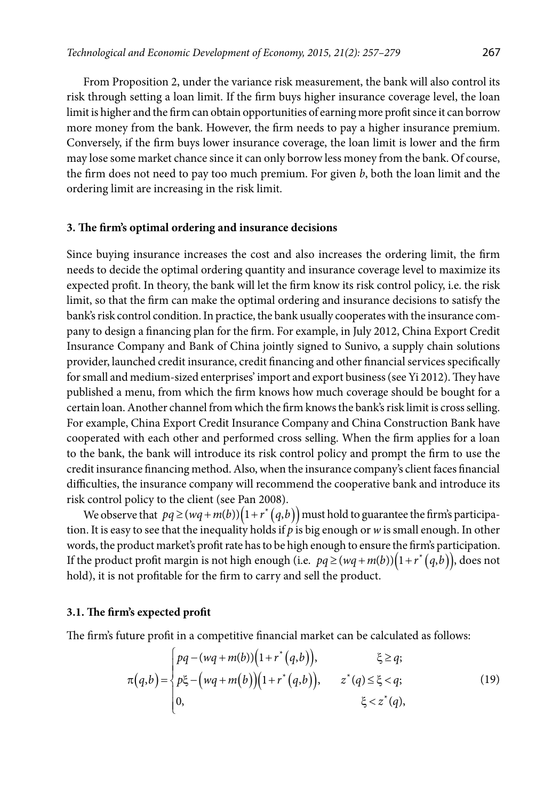From Proposition 2, under the variance risk measurement, the bank will also control its risk through setting a loan limit. If the firm buys higher insurance coverage level, the loan limit is higher and the firm can obtain opportunities of earning more profit since it can borrow more money from the bank. However, the firm needs to pay a higher insurance premium. Conversely, if the firm buys lower insurance coverage, the loan limit is lower and the firm may lose some market chance since it can only borrow less money from the bank. Of course, the firm does not need to pay too much premium. For given *b*, both the loan limit and the ordering limit are increasing in the risk limit.

# **3. The firm's optimal ordering and insurance decisions**

Since buying insurance increases the cost and also increases the ordering limit, the firm needs to decide the optimal ordering quantity and insurance coverage level to maximize its expected profit. In theory, the bank will let the firm know its risk control policy, i.e. the risk limit, so that the firm can make the optimal ordering and insurance decisions to satisfy the bank's risk control condition. In practice, the bank usually cooperates with the insurance company to design a financing plan for the firm. For example, in July 2012, China Export Credit Insurance Company and Bank of China jointly signed to Sunivo, a supply chain solutions provider, launched credit insurance, credit financing and other financial services specifically for small and medium-sized enterprises' import and export business (see Yi 2012). They have published a menu, from which the firm knows how much coverage should be bought for a certain loan. Another channel from which the firm knows the bank's risk limit is cross selling. For example, China Export Credit Insurance Company and China Construction Bank have cooperated with each other and performed cross selling. When the firm applies for a loan to the bank, the bank will introduce its risk control policy and prompt the firm to use the credit insurance financing method. Also, when the insurance company's client faces financial difficulties, the insurance company will recommend the cooperative bank and introduce its risk control policy to the client (see Pan 2008).

We observe that  $pq \ge ( wq + m(b) ) (1 + r^* (q, b))$  must hold to guarantee the firm's participation. It is easy to see that the inequality holds if *p* is big enough or *w* is small enough. In other words, the product market's profit rate has to be high enough to ensure the firm's participation. If the product profit margin is not high enough (i.e.  $pq \geq (wq + m(b))(1 + r^*(q, b))$ , does not hold), it is not profitable for the firm to carry and sell the product.

#### **3.1. The firm's expected profit**

The firm's future profit in a competitive financial market can be calculated as follows:

$$
\pi(q,b) = \begin{cases} pq - (wq + m(b))\left(1 + r^*(q,b)\right), & \xi \ge q; \\ p\xi - \left(wq + m(b)\right)\left(1 + r^*(q,b)\right), & z^*(q) \le \xi < q; \\ 0, & \xi < z^*(q), \end{cases}
$$
(19)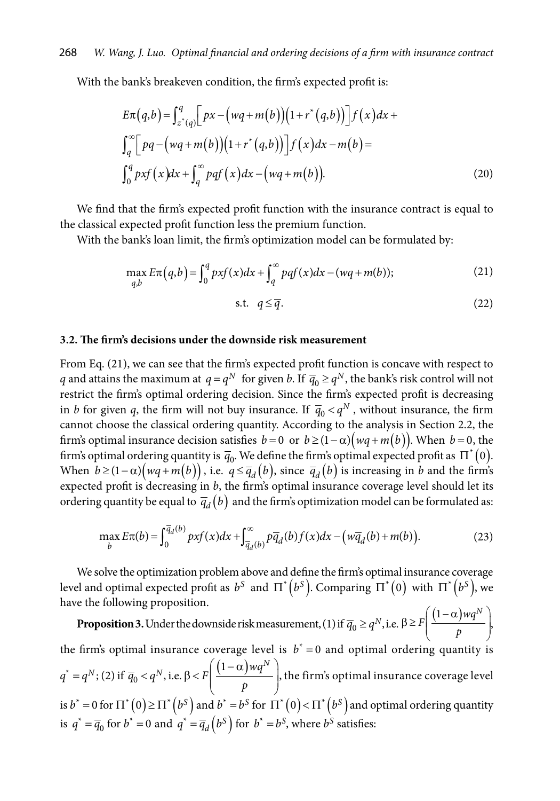With the bank's breakeven condition, the firm's expected profit is:

$$
E\pi(q,b) = \int_{z^*(q)}^q \Big[ px - \Big( wq + m(b) \Big) \Big( 1 + r^*(q,b) \Big) \Big] f(x) dx +
$$
  

$$
\int_q^{\infty} \Big[ pq - \Big( wq + m(b) \Big) \Big( 1 + r^*(q,b) \Big) \Big] f(x) dx - m(b) =
$$
  

$$
\int_0^q pxf(x) dx + \int_q^{\infty} pqf(x) dx - \Big( wq + m(b) \Big).
$$
 (20)

We find that the firm's expected profit function with the insurance contract is equal to the classical expected profit function less the premium function.

With the bank's loan limit, the firm's optimization model can be formulated by:

$$
\max_{q,b} E\pi(q,b) = \int_0^q pxf(x)dx + \int_q^\infty pqf(x)dx - (wq+m(b));\tag{21}
$$

$$
\text{s.t. } q \le \overline{q}. \tag{22}
$$

# **3.2. The firm's decisions under the downside risk measurement**

From Eq. (21), we can see that the firm's expected profit function is concave with respect to *q* and attains the maximum at  $q = q^N$  for given *b*. If  $\overline{q}_0 \ge q^N$ , the bank's risk control will not restrict the firm's optimal ordering decision. Since the firm's expected profit is decreasing in *b* for given *q*, the firm will not buy insurance. If  $\bar{q}_0 < q^N$ , without insurance, the firm cannot choose the classical ordering quantity. According to the analysis in Section 2.2, the firm's optimal insurance decision satisfies  $b = 0$  or  $b \ge (1 - \alpha)(wq + m(b))$ . When  $b = 0$ , the firm's optimal ordering quantity is  $\bar{q}_0$ . We define the firm's optimal expected profit as  $\Pi^*(0)$ . When  $b \geq (1 - \alpha) (wq + m(b))$ , i.e.  $q \leq \overline{q}_d(b)$ , since  $\overline{q}_d(b)$  is increasing in *b* and the firm's expected profit is decreasing in *b*, the firm's optimal insurance coverage level should let its ordering quantity be equal to  $\bar{q}_d(b)$  and the firm's optimization model can be formulated as:

$$
\max_{b} E\pi(b) = \int_0^{\overline{q}_d(b)} pxf(x)dx + \int_{\overline{q}_d(b)}^{\infty} p\overline{q}_d(b)f(x)dx - \big(w\overline{q}_d(b) + m(b)\big).
$$
 (23)

We solve the optimization problem above and define the firm's optimal insurance coverage level and optimal expected profit as  $b^S$  and  $\Pi^*(b^S)$ . Comparing  $\Pi^*(0)$  with  $\Pi^*(b^S)$ , we have the following proposition.

**Proposition 3.** Under the downside risk measurement, (1) if  $\overline{q}_0 \geq q^N$ , i.e.  $\beta \geq F \left( \frac{(1-\alpha) w q^N}{p} \right)$  $\beta \geq F\left(\frac{(1-\alpha)mq^N}{r}\right)$  $( P )$ , the firm's optimal insurance coverage level is  $b^* = 0$  and optimal ordering quantity is  $q^* = q^N$ ; (2) if  $\overline{q}_0 < q^N$ , i.e.  $\beta < F\left(\frac{(1-\alpha)mq^N}{p}\right)$  $(1-\alpha)$ wq<sup>N</sup>  $\beta < F$ |  $\frac{(1-\alpha)^{n}T}{T}$  $( P \)$ , the firm's optimal insurance coverage level is  $b^* = 0$  for  $\Pi^*$   $(0) \ge \Pi^*$   $(b^S)$  and  $b^* = b^S$  for  $\Pi^*$   $(0) < \Pi^*$   $(b^S)$  and optimal ordering quantity is  $q^* = \overline{q}_0$  for  $b^* = 0$  and  $q^* = \overline{q}_d(b^S)$  for  $b^* = b^S$ , where  $b^S$  satisfies: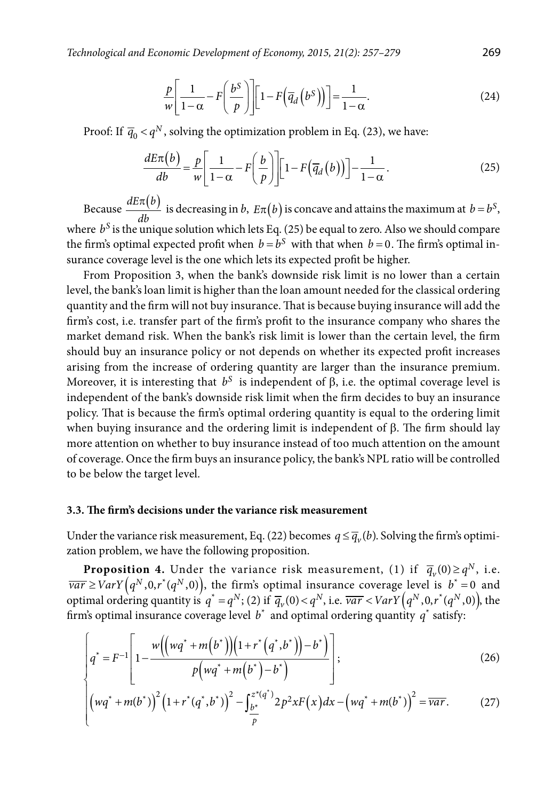$$
\frac{p}{w} \left[ \frac{1}{1-\alpha} - F \left( \frac{b^S}{p} \right) \right] \left[ 1 - F \left( \overline{q}_d \left( b^S \right) \right) \right] = \frac{1}{1-\alpha}.
$$
\n(24)

Proof: If  $\overline{q}_0 < q^N$ , solving the optimization problem in Eq. (23), we have:

$$
\frac{dE\pi(b)}{db} = \frac{p}{w} \left[ \frac{1}{1-\alpha} - F\left(\frac{b}{p}\right) \right] \left[ 1 - F\left(\overline{q}_d\left(b\right)\right) \right] - \frac{1}{1-\alpha}.
$$
\n(25)

Because  $\frac{dE\pi(b)}{dE}$  $\frac{d\pi(b)}{db}$  is decreasing in *b*,  $E\pi(b)$  is concave and attains the maximum at  $b = b^S$ , where  $b^S$  is the unique solution which lets Eq. (25) be equal to zero. Also we should compare the firm's optimal expected profit when  $b = b^S$  with that when  $b = 0$ . The firm's optimal insurance coverage level is the one which lets its expected profit be higher.

From Proposition 3, when the bank's downside risk limit is no lower than a certain level, the bank's loan limit is higher than the loan amount needed for the classical ordering quantity and the firm will not buy insurance. That is because buying insurance will add the firm's cost, i.e. transfer part of the firm's profit to the insurance company who shares the market demand risk. When the bank's risk limit is lower than the certain level, the firm should buy an insurance policy or not depends on whether its expected profit increases arising from the increase of ordering quantity are larger than the insurance premium. Moreover, it is interesting that  $b^S$  is independent of  $\beta$ , i.e. the optimal coverage level is independent of the bank's downside risk limit when the firm decides to buy an insurance policy. That is because the firm's optimal ordering quantity is equal to the ordering limit when buying insurance and the ordering limit is independent of β. The firm should lay more attention on whether to buy insurance instead of too much attention on the amount of coverage. Once the firm buys an insurance policy, the bank's NPL ratio will be controlled to be below the target level.

# **3.3. The firm's decisions under the variance risk measurement**

Under the variance risk measurement, Eq. (22) becomes  $q \leq \overline{q}_v(b)$ . Solving the firm's optimization problem, we have the following proposition.

**Proposition 4.** Under the variance risk measurement, (1) if  $\overline{q}_v(0) \ge q^N$ , i.e.  $\overline{var} \geq VarY(q^N, 0, r^*(q^N, 0))$ , the firm's optimal insurance coverage level is  $b^* = 0$  and optimal ordering quantity is  $q^* = q^N$ ; (2) if  $\overline{q}_v(0) < q^N$ , i.e.  $\overline{var} < VarY(q^N, 0, r^*(q^N, 0))$ , the firm's optimal insurance coverage level  $b^*$  and optimal ordering quantity  $q^*$  satisfy:

$$
\left[q^* = F^{-1}\left[1 - \frac{w((wq^* + m(b^*))((1+r^*(q^*,b^*)) - b^*)}{p(wq^* + m(b^*) - b^*)}\right];\right]
$$
\n(26)

$$
\left[ \left( wq^* + m(b^*) \right)^2 \left( 1 + r^*(q^*, b^*) \right)^2 - \int_{\frac{b^*}{p}}^{\frac{z^*(q^*)}{p}} 2p^2 x F(x) dx - \left( wq^* + m(b^*) \right)^2 = \overline{var}. \tag{27}
$$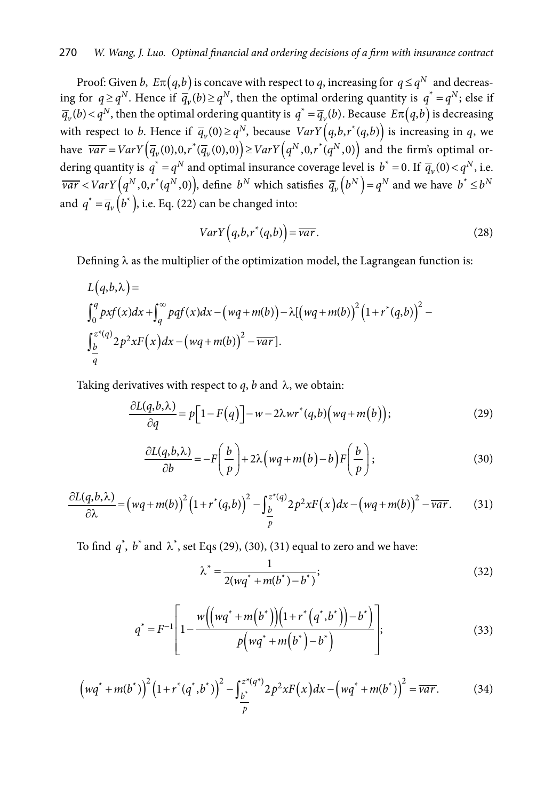Proof: Given *b*,  $E\pi(q,b)$  is concave with respect to *q*, increasing for  $q \leq q^N$  and decreasing for  $q \ge q^N$ . Hence if  $\overline{q}_v(b) \ge q^N$ , then the optimal ordering quantity is  $q^* = q^N$ ; else if  $\overline{q}_{v}(b) < q^{N}$ , then the optimal ordering quantity is  $q^{*} = \overline{q}_{v}(b)$ . Because  $E\pi(q,b)$  is decreasing with respect to *b*. Hence if  $\overline{q}_v(0) \geq q^N$ , because  $VarY(q, b, r^*(q, b))$  is increasing in *q*, we have  $\overline{var} = VarY(\overline{q}_v(0),0,r^*(\overline{q}_v(0),0)) \geq VarY(q^N,0,r^*(q^N,0))$  and the firm's optimal ordering quantity is  $q^* = q^N$  and optimal insurance coverage level is  $b^* = 0$ . If  $\overline{q}_v(0) < q^N$ , i.e.  $\overline{var}$  < VarY  $(q^N, 0, r^*(q^N, 0))$ , define  $b^N$  which satisfies  $\overline{q}_v(b^N) = q^N$  and we have  $b^* \le b^N$ and  $q^* = \overline{q}_v(b^*)$ , i.e. Eq. (22) can be changed into:

$$
VarY(q, b, r^*(q, b)) = \overline{var}.
$$
 (28)

Defining  $\lambda$  as the multiplier of the optimization model, the Lagrangean function is:

$$
L(q,b,\lambda) =
$$
  
\n
$$
\int_0^q pxf(x)dx + \int_q^\infty pqf(x)dx - (wq+m(b)) - \lambda[(wq+m(b))^2 (1+r^*(q,b))^2 -
$$
  
\n
$$
\int_{\frac{b}{q}}^{z^*(q)} 2p^2xF(x)dx - (wq+m(b))^2 - \overline{var}].
$$

Taking derivatives with respect to  $q$ ,  $b$  and  $\lambda$ , we obtain:

$$
\frac{\partial L(q,b,\lambda)}{\partial q} = p \Big[ 1 - F(q) \Big] - w - 2\lambda wr^*(q,b) \Big( wq + m(b) \Big); \tag{29}
$$

$$
\frac{\partial L(q,b,\lambda)}{\partial b} = -F\bigg(\frac{b}{p}\bigg) + 2\lambda \big(wq + m(b) - b\bigg)F\bigg(\frac{b}{p}\bigg);
$$
\n(30)

$$
\frac{\partial L(q,b,\lambda)}{\partial \lambda} = \left(wq + m(b)\right)^2 \left(1 + r^*(q,b)\right)^2 - \int_{\frac{b}{p}}^{\frac{z^*(q)}{2}} 2p^2 x F(x) dx - \left(wq + m(b)\right)^2 - \overline{var}.\tag{31}
$$

To find  $q^*$ ,  $b^*$  and  $\lambda^*$ , set Eqs (29), (30), (31) equal to zero and we have:

$$
\lambda^* = \frac{1}{2(wq^* + m(b^*) - b^*)};\tag{32}
$$

$$
q^* = F^{-1} \left[ 1 - \frac{w((wq^* + m(b^*)) (1 + r^* (q^*, b^*)) - b^*)}{p(wq^* + m(b^*) - b^*)} \right];
$$
\n(33)

$$
\left(wq^* + m(b^*)\right)^2 \left(1 + r^*(q^*, b^*)\right)^2 - \int_{\frac{b^*}{p}}^{z^*(q^*)} 2p^2 x F(x) dx - \left(wq^* + m(b^*)\right)^2 = \overline{var}.
$$
 (34)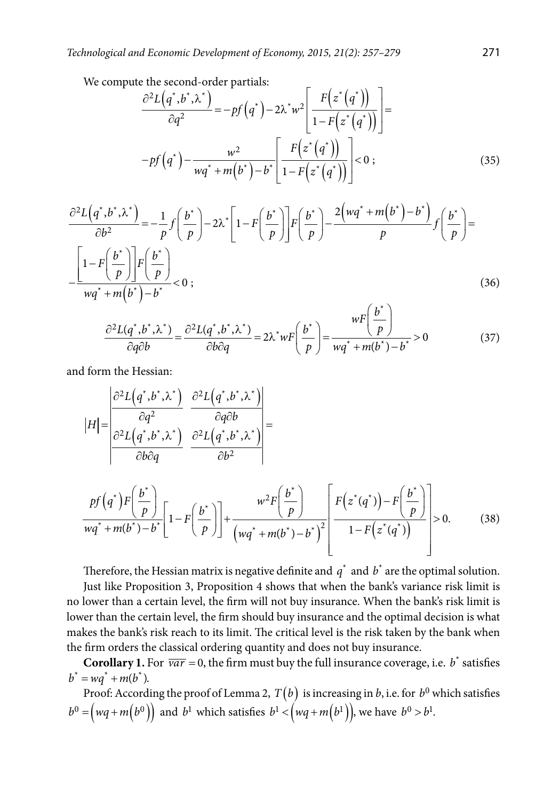We compute the second-order partials:

$$
\frac{\partial^2 L(q^*,b^*,\lambda^*)}{\partial q^2} = -pf(q^*) - 2\lambda^*w^2 \left[ \frac{F(z^*(q^*))}{1 - F(z^*(q^*))} \right] =
$$
  

$$
-pf(q^*) - \frac{w^2}{wq^* + m(b^*) - b^*} \left[ \frac{F(z^*(q^*))}{1 - F(z^*(q^*))} \right] < 0 ;
$$
 (35)

$$
\frac{\partial^2 L(q^*,b^*,\lambda^*)}{\partial b^2} = -\frac{1}{p}f\left(\frac{b^*}{p}\right) - 2\lambda^*\left[1 - F\left(\frac{b^*}{p}\right)\right]F\left(\frac{b^*}{p}\right) - \frac{2\left(wq^* + m\left(b^*\right) - b^*\right)}{p}f\left(\frac{b^*}{p}\right) = \frac{\left[1 - F\left(\frac{b^*}{p}\right)\right]F\left(\frac{b^*}{p}\right)}{wq^* + m\left(b^*\right) - b^*} < 0 ;\tag{36}
$$

$$
\frac{\partial^2 L(q^*,b^*,\lambda^*)}{\partial q \partial b} = \frac{\partial^2 L(q^*,b^*,\lambda^*)}{\partial b \partial q} = 2\lambda^* w F\left(\frac{b^*}{p}\right) = \frac{w F\left(\frac{b^*}{p}\right)}{w q^* + m(b^*) - b^*} > 0
$$
(37)

and form the Hessian:

$$
|H| = \frac{\begin{vmatrix} \frac{\partial^2 L}{\partial t} & \frac{\partial^2 L}{\partial t} & \frac{\partial^2 L}{\partial t} & \frac{\partial^2 L}{\partial t} \\ \frac{\partial^2 L}{\partial t} & \frac{\partial^2 L}{\partial t} & \frac{\partial^2 L}{\partial t} & \frac{\partial^2 L}{\partial t} \end{vmatrix}}{\frac{\partial^2 L}{\partial t^2}} =
$$
  

$$
\frac{pf(q^*)F\left(\frac{b^*}{p}\right)}{wq^* + m(b^*) - b^*} \left[1 - F\left(\frac{b^*}{p}\right)\right] + \frac{w^2 F\left(\frac{b^*}{p}\right)}{(wq^* + m(b^*) - b^*)^2} \left[ \frac{F(z^*(q^*)) - F\left(\frac{b^*}{p}\right)}{1 - F(z^*(q^*))} \right] > 0.
$$
 (38)

Therefore, the Hessian matrix is negative definite and  $q^*$  and  $b^*$  are the optimal solution.

Just like Proposition 3, Proposition 4 shows that when the bank's variance risk limit is no lower than a certain level, the firm will not buy insurance. When the bank's risk limit is lower than the certain level, the firm should buy insurance and the optimal decision is what makes the bank's risk reach to its limit. The critical level is the risk taken by the bank when the firm orders the classical ordering quantity and does not buy insurance.

**Corollary 1.** For  $\overline{var} = 0$ , the firm must buy the full insurance coverage, i.e.  $b^*$  satisfies  $b^* = wq^* + m(b^*)$ .

Proof: According the proof of Lemma 2,  $T(b)$  is increasing in *b*, i.e. for  $b^0$  which satisfies  $b^0 = (wq + m(b^0))$  and  $b^1$  which satisfies  $b^1 < (wq + m(b^1))$ , we have  $b^0 > b^1$ .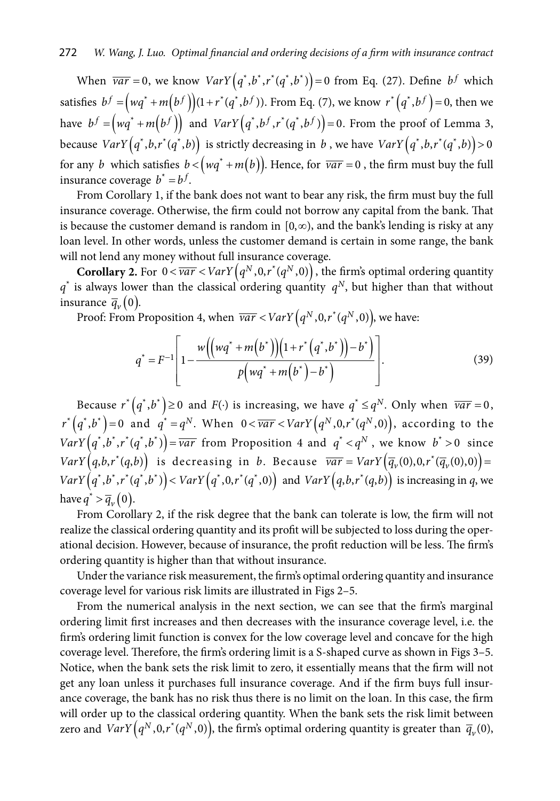When  $\overline{var} = 0$ , we know  $VarY(q^*, b^*, r^*(q^*, b^*)) = 0$  from Eq. (27). Define  $b^f$  which satisfies  $b^f = (wq^* + m(b^f))(1 + r^*(q^*, b^f))$ . From Eq. (7), we know  $r^*(q^*, b^f) = 0$ , then we have  $b^f = (wq^* + m(b^f))$  and  $VarY(q^*, b^f, r^*(q^*, b^f)) = 0$ . From the proof of Lemma 3, because  $VarY(q^*, b, r^*(q^*, b))$  is strictly decreasing in *b*, we have  $VarY(q^*, b, r^*(q^*, b)) > 0$ for any *b* which satisfies  $b < (wq^* + m(b))$ . Hence, for  $\overline{var} = 0$ , the firm must buy the full insurance coverage  $b^* = b^f$ .

From Corollary 1, if the bank does not want to bear any risk, the firm must buy the full insurance coverage. Otherwise, the firm could not borrow any capital from the bank. That is because the customer demand is random in  $[0, \infty)$ , and the bank's lending is risky at any loan level. In other words, unless the customer demand is certain in some range, the bank

will not lend any money without full insurance coverage.<br> **Corollary 2.** For  $0 < \overline{var} < VarY(q^N, 0, r^*(q^N, 0))$ , the firm's optimal ordering quantity  $q^*$  is always lower than the classical ordering quantity  $q^N$ , but higher than that without insurance  $\overline{q}_{\nu}(0)$ .

Proof: From Proposition 4, when  $\overline{var} < VarY(q^N, 0, r^*(q^N, 0))$ , we have:

$$
q^* = F^{-1} \left[ 1 - \frac{w((wq^* + m(b^*)) (1 + r^* (q^*, b^*)) - b^*)}{p(wq^* + m(b^*) - b^*)} \right].
$$
 (39)

Because  $r^*(q^*, b^*) \ge 0$  and  $F(\cdot)$  is increasing, we have  $q^* \le q^N$ . Only when  $\overline{var} = 0$ ,  $r^{*}(q^{*},b^{*})=0$  and  $q^{*}=q^{N}$ . When  $0<\overline{var}, according to the$  $VarY(q^*, b^*, r^*(q^*, b^*)) = \overline{var}$  from Proposition 4 and  $q^* < q^N$ , we know  $b^* > 0$  since  $VarY(q, b, r^*(q, b))$  is decreasing in *b*. Because  $\overline{var} = VarY(\overline{q}_v(0), 0, r^*(\overline{q}_v(0), 0)) =$  $VarY(q^*, b^*, r^*(q^*, b^*))$  <  $VarY(q^*, 0, r^*(q^*, 0))$  and  $VarY(q, b, r^*(q, b))$  is increasing in q, we have  $q^* > \overline{q}_v(0)$ .

From Corollary 2, if the risk degree that the bank can tolerate is low, the firm will not realize the classical ordering quantity and its profit will be subjected to loss during the operational decision. However, because of insurance, the profit reduction will be less. The firm's ordering quantity is higher than that without insurance.

Under the variance risk measurement, the firm's optimal ordering quantity and insurance coverage level for various risk limits are illustrated in Figs 2–5.

From the numerical analysis in the next section, we can see that the firm's marginal ordering limit first increases and then decreases with the insurance coverage level, i.e. the firm's ordering limit function is convex for the low coverage level and concave for the high coverage level. Therefore, the firm's ordering limit is a S-shaped curve as shown in Figs 3–5. Notice, when the bank sets the risk limit to zero, it essentially means that the firm will not get any loan unless it purchases full insurance coverage. And if the firm buys full insurance coverage, the bank has no risk thus there is no limit on the loan. In this case, the firm will order up to the classical ordering quantity. When the bank sets the risk limit between zero and  $VarY(q^N, 0, r^*(q^N, 0))$ , the firm's optimal ordering quantity is greater than  $\bar{q}_{\nu}(0)$ ,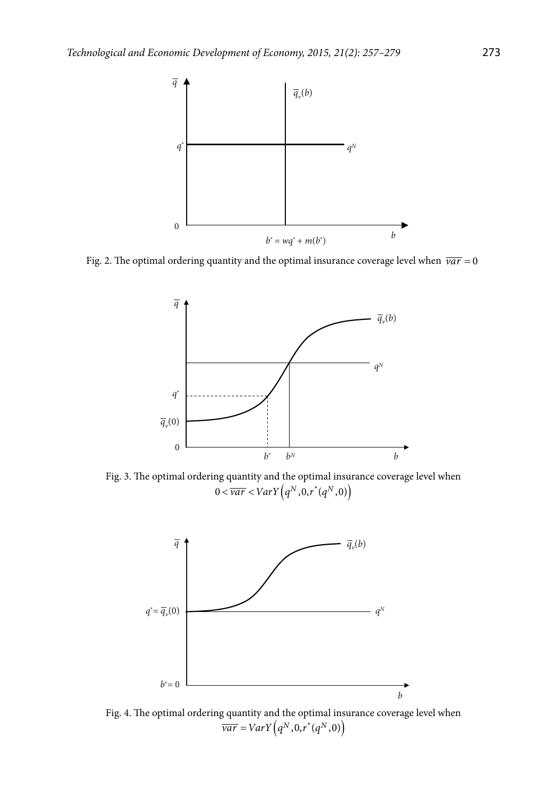

Fig. 2. The optimal ordering quantity and the optimal insurance coverage level when  $\overline{var} = 0$ 



Fig. 3. The optimal ordering quantity and the optimal insurance coverage level when  $(0 < \overline{var} < VarY(q^N, 0, r^*(q^N, 0))$ 



Fig. 4. The optimal ordering quantity and the optimal insurance coverage level when  $\frac{\partial^2 I}{\partial a \, r} = \frac{V}{V}arY \left( q^N, 0, r^*(q^N, 0) \right)$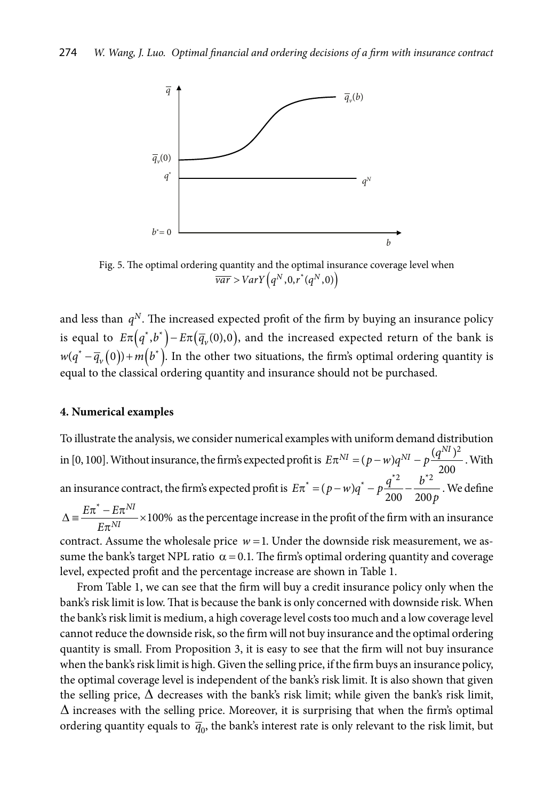

Fig. 5. The optimal ordering quantity and the optimal insurance coverage level when  $\frac{\partial}{\partial a} \overline{r} > VarY(q^N, 0, r^*(q^N, 0))$ 

and less than  $q<sup>N</sup>$ . The increased expected profit of the firm by buying an insurance policy is equal to  $E\pi(q^*,b^*) - E\pi(\overline{q}_v(0),0)$ , and the increased expected return of the bank is  $w(q^* - \overline{q}_{\nu}(0)) + m(b^*)$ . In the other two situations, the firm's optimal ordering quantity is equal to the classical ordering quantity and insurance should not be purchased.

# **4. Numerical examples**

To illustrate the analysis, we consider numerical examples with uniform demand distribution in [0, 100]. Without insurance, the firm's expected profit is  $E\pi^{NI} = (p - w)q^{NI} - p\frac{(q^{NI})^2}{200}$ . With an insurance contract, the firm's expected profit is  $E\pi^* = (p - w)q^* - p\frac{q^{*2}}{200} - \frac{b^{*2}}{200p}$ . We define  $\frac{1}{T} - E\pi^{NI}$  × 100% *NI*  $E\pi^* - E$ *E*  $\Delta \equiv \frac{E\pi^* - E\pi^{NI}}{I-NI} \times$  $\frac{2\pi}{\pi^{NI}}$  × 100% as the percentage increase in the profit of the firm with an insurance

contract. Assume the wholesale price  $w = 1$ . Under the downside risk measurement, we assume the bank's target NPL ratio  $\alpha = 0.1$ . The firm's optimal ordering quantity and coverage level, expected profit and the percentage increase are shown in Table 1.

From Table 1, we can see that the firm will buy a credit insurance policy only when the bank's risk limit is low. That is because the bank is only concerned with downside risk. When the bank's risk limit is medium, a high coverage level costs too much and a low coverage level cannot reduce the downside risk, so the firm will not buy insurance and the optimal ordering quantity is small. From Proposition 3, it is easy to see that the firm will not buy insurance when the bank's risk limit is high. Given the selling price, if the firm buys an insurance policy, the optimal coverage level is independent of the bank's risk limit. It is also shown that given the selling price,  $\Delta$  decreases with the bank's risk limit; while given the bank's risk limit,  $\Delta$  increases with the selling price. Moreover, it is surprising that when the firm's optimal ordering quantity equals to  $\bar{q}_0$ , the bank's interest rate is only relevant to the risk limit, but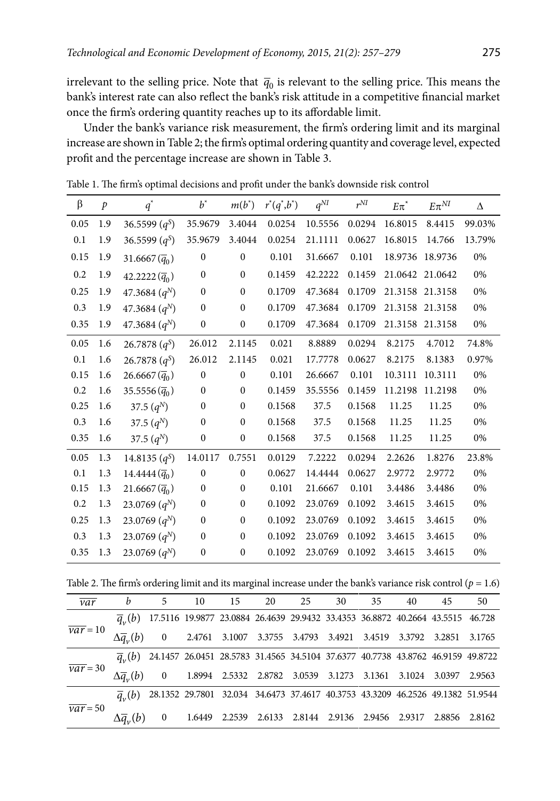irrelevant to the selling price. Note that  $\bar{q}_0$  is relevant to the selling price. This means the bank's interest rate can also reflect the bank's risk attitude in a competitive financial market once the firm's ordering quantity reaches up to its affordable limit.

Under the bank's variance risk measurement, the firm's ordering limit and its marginal increase are shown in Table 2; the firm's optimal ordering quantity and coverage level, expected profit and the percentage increase are shown in Table 3.

| β    | $\mathcal{P}$ | $q^*$                                | $b^*$            | $m(b^*)$         | $r^*(q^*,b^*)$ | $q^{NI}$ | $r^{NI}$ | $E\pi^*$ | $E\pi^{NI}$     | Δ      |
|------|---------------|--------------------------------------|------------------|------------------|----------------|----------|----------|----------|-----------------|--------|
| 0.05 | 1.9           | 36.5599 $(q^{S})$                    | 35.9679          | 3.4044           | 0.0254         | 10.5556  | 0.0294   | 16.8015  | 8.4415          | 99.03% |
| 0.1  | 1.9           | 36.5599 $(q^{S})$                    | 35.9679          | 3.4044           | 0.0254         | 21.1111  | 0.0627   | 16.8015  | 14.766          | 13.79% |
| 0.15 | 1.9           | 31.6667 $(\bar{q}_0)$                | $\boldsymbol{0}$ | $\mathbf{0}$     | 0.101          | 31.6667  | 0.101    | 18.9736  | 18.9736         | 0%     |
| 0.2  | 1.9           | 42.2222 $(\bar{q}_0)$                | $\mathbf{0}$     | $\mathbf{0}$     | 0.1459         | 42.2222  | 0.1459   |          | 21.0642 21.0642 | 0%     |
| 0.25 | 1.9           | 47.3684 $(q^N)$                      | $\mathbf{0}$     | $\mathbf{0}$     | 0.1709         | 47.3684  | 0.1709   |          | 21.3158 21.3158 | 0%     |
| 0.3  | 1.9           | 47.3684 $(q^N)$                      | $\mathbf{0}$     | $\mathbf{0}$     | 0.1709         | 47.3684  | 0.1709   |          | 21.3158 21.3158 | 0%     |
| 0.35 | 1.9           | 47.3684 $(q^N)$                      | $\boldsymbol{0}$ | $\boldsymbol{0}$ | 0.1709         | 47.3684  | 0.1709   |          | 21.3158 21.3158 | 0%     |
| 0.05 | 1.6           | 26.7878 $(q^{S})$                    | 26.012           | 2.1145           | 0.021          | 8.8889   | 0.0294   | 8.2175   | 4.7012          | 74.8%  |
| 0.1  | 1.6           | 26.7878 $(q^{S})$                    | 26.012           | 2.1145           | 0.021          | 17.7778  | 0.0627   | 8.2175   | 8.1383          | 0.97%  |
| 0.15 | 1.6           | 26.6667 $(\bar{q}_0)$                | $\mathbf{0}$     | $\mathbf{0}$     | 0.101          | 26.6667  | 0.101    | 10.3111  | 10.3111         | 0%     |
| 0.2  | 1.6           | 35.5556 $(\bar{q}_0)$                | $\boldsymbol{0}$ | $\mathbf{0}$     | 0.1459         | 35.5556  | 0.1459   | 11.2198  | 11.2198         | 0%     |
| 0.25 | 1.6           | 37.5 $(q^N)$                         | $\mathbf{0}$     | $\Omega$         | 0.1568         | 37.5     | 0.1568   | 11.25    | 11.25           | 0%     |
| 0.3  | 1.6           | 37.5 $(q^N)$                         | $\mathbf{0}$     | $\mathbf{0}$     | 0.1568         | 37.5     | 0.1568   | 11.25    | 11.25           | 0%     |
| 0.35 | 1.6           | 37.5 $(q^N)$                         | $\boldsymbol{0}$ | $\boldsymbol{0}$ | 0.1568         | 37.5     | 0.1568   | 11.25    | 11.25           | 0%     |
| 0.05 | 1.3           | 14.8135 $(q^{S})$                    | 14.0117          | 0.7551           | 0.0129         | 7.2222   | 0.0294   | 2.2626   | 1.8276          | 23.8%  |
| 0.1  | 1.3           | $14.4444\left(\overline{q}_0\right)$ | $\mathbf{0}$     | $\mathbf{0}$     | 0.0627         | 14.4444  | 0.0627   | 2.9772   | 2.9772          | 0%     |
| 0.15 | 1.3           | 21.6667 $(\bar{q}_0)$                | $\boldsymbol{0}$ | $\mathbf{0}$     | 0.101          | 21.6667  | 0.101    | 3.4486   | 3.4486          | 0%     |
| 0.2  | 1.3           | 23.0769 $(q^N)$                      | $\mathbf{0}$     | $\mathbf{0}$     | 0.1092         | 23.0769  | 0.1092   | 3.4615   | 3.4615          | 0%     |
| 0.25 | 1.3           | 23.0769 $(q^N)$                      | $\mathbf{0}$     | $\mathbf{0}$     | 0.1092         | 23.0769  | 0.1092   | 3.4615   | 3.4615          | 0%     |
| 0.3  | 1.3           | 23.0769 $(q^N)$                      | $\mathbf{0}$     | $\mathbf{0}$     | 0.1092         | 23.0769  | 0.1092   | 3.4615   | 3.4615          | 0%     |
| 0.35 | 1.3           | 23.0769 $(q^N)$                      | $\boldsymbol{0}$ | $\boldsymbol{0}$ | 0.1092         | 23.0769  | 0.1092   | 3.4615   | 3.4615          | 0%     |

Table 1. The firm's optimal decisions and profit under the bank's downside risk control

Table 2. The firm's ordering limit and its marginal increase under the bank's variance risk control  $(p = 1.6)$ 

| var        | b                              | 5                                                                                             | 10     | 15     | 20 | 25 | 30                                                                              | 35 | 40 | 45            | 50     |
|------------|--------------------------------|-----------------------------------------------------------------------------------------------|--------|--------|----|----|---------------------------------------------------------------------------------|----|----|---------------|--------|
|            | $q_{\nu}(b)$                   |                                                                                               |        |        |    |    | 17.5116 19.9877 23.0884 26.4639 29.9432 33.4353 36.8872 40.2664 43.5515 46.728  |    |    |               |        |
| $var = 10$ |                                | $\Delta \overline{q}_{v}(b)$ 0 2.4761 3.1007 3.3755 3.4793 3.4921 3.4519 3.3792 3.2851 3.1765 |        |        |    |    |                                                                                 |    |    |               |        |
|            | $\overline{q}_{\nu}(b)$        |                                                                                               |        |        |    |    | 24.1457 26.0451 28.5783 31.4565 34.5104 37.6377 40.7738 43.8762 46.9159 49.8722 |    |    |               |        |
| $var = 30$ | $\Delta \overline{a}$ (b) 0    |                                                                                               |        |        |    |    | 1.8994  2.5332  2.8782  3.0539  3.1273  3.1361  3.1024  3.0397                  |    |    |               | 2.9563 |
|            | $\overline{q}_{n}(b)$          | 28.1352 29.7801 32.034 34.6473 37.4617 40.3753 43.3209 46.2526 49.1382 51.9544                |        |        |    |    |                                                                                 |    |    |               |        |
| $var = 50$ | $\Delta \overline{q}_{\nu}(b)$ | $\sim 0$                                                                                      | 1.6449 | 2.2539 |    |    | 2.6133 2.8144 2.9136 2.9456 2.9317                                              |    |    | 2.8856 2.8162 |        |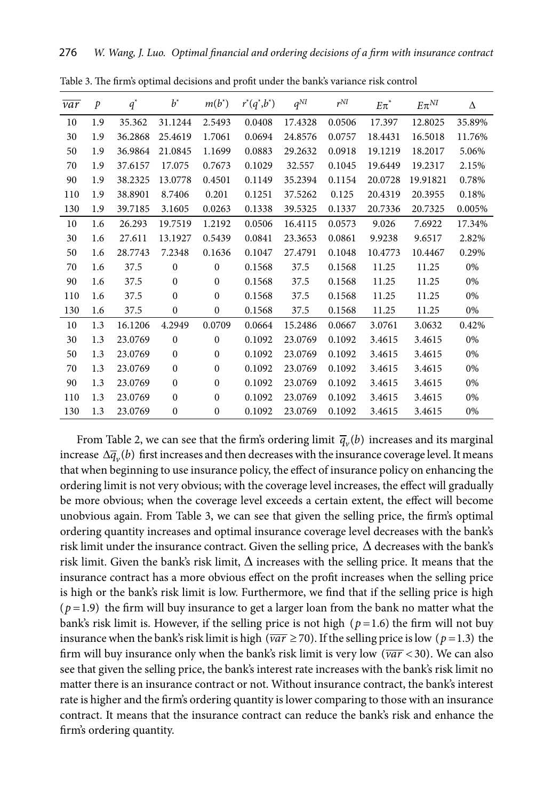| var | $\mathcal{P}$ | $q^*$   | $b^*$        | $m(b^*)$     | $r^*(q^*,b^*)$ | $q^{NI}$ | $r^{NI}$ | $E\pi^*$ | $E\pi^{NI}$ | Δ      |
|-----|---------------|---------|--------------|--------------|----------------|----------|----------|----------|-------------|--------|
| 10  | 1.9           | 35.362  | 31.1244      | 2.5493       | 0.0408         | 17.4328  | 0.0506   | 17.397   | 12.8025     | 35.89% |
| 30  | 1.9           | 36.2868 | 25.4619      | 1.7061       | 0.0694         | 24.8576  | 0.0757   | 18.4431  | 16.5018     | 11.76% |
| 50  | 1.9           | 36.9864 | 21.0845      | 1.1699       | 0.0883         | 29.2632  | 0.0918   | 19.1219  | 18.2017     | 5.06%  |
| 70  | 1.9           | 37.6157 | 17.075       | 0.7673       | 0.1029         | 32.557   | 0.1045   | 19.6449  | 19.2317     | 2.15%  |
| 90  | 1.9           | 38.2325 | 13.0778      | 0.4501       | 0.1149         | 35.2394  | 0.1154   | 20.0728  | 19.91821    | 0.78%  |
| 110 | 1.9           | 38.8901 | 8.7406       | 0.201        | 0.1251         | 37.5262  | 0.125    | 20.4319  | 20.3955     | 0.18%  |
| 130 | 1.9           | 39.7185 | 3.1605       | 0.0263       | 0.1338         | 39.5325  | 0.1337   | 20.7336  | 20.7325     | 0.005% |
| 10  | 1.6           | 26.293  | 19.7519      | 1.2192       | 0.0506         | 16.4115  | 0.0573   | 9.026    | 7.6922      | 17.34% |
| 30  | 1.6           | 27.611  | 13.1927      | 0.5439       | 0.0841         | 23.3653  | 0.0861   | 9.9238   | 9.6517      | 2.82%  |
| 50  | 1.6           | 28.7743 | 7.2348       | 0.1636       | 0.1047         | 27.4791  | 0.1048   | 10.4773  | 10.4467     | 0.29%  |
| 70  | 1.6           | 37.5    | $\mathbf{0}$ | $\mathbf{0}$ | 0.1568         | 37.5     | 0.1568   | 11.25    | 11.25       | 0%     |
| 90  | 1.6           | 37.5    | $\mathbf{0}$ | $\mathbf{0}$ | 0.1568         | 37.5     | 0.1568   | 11.25    | 11.25       | 0%     |
| 110 | 1.6           | 37.5    | $\Omega$     | $\Omega$     | 0.1568         | 37.5     | 0.1568   | 11.25    | 11.25       | 0%     |
| 130 | 1.6           | 37.5    | $\mathbf{0}$ | $\mathbf{0}$ | 0.1568         | 37.5     | 0.1568   | 11.25    | 11.25       | 0%     |
| 10  | 1.3           | 16.1206 | 4.2949       | 0.0709       | 0.0664         | 15.2486  | 0.0667   | 3.0761   | 3.0632      | 0.42%  |
| 30  | 1.3           | 23.0769 | $\mathbf{0}$ | $\Omega$     | 0.1092         | 23.0769  | 0.1092   | 3.4615   | 3.4615      | 0%     |
| 50  | 1.3           | 23.0769 | $\mathbf{0}$ | $\Omega$     | 0.1092         | 23.0769  | 0.1092   | 3.4615   | 3.4615      | 0%     |
| 70  | 1.3           | 23.0769 | $\mathbf{0}$ | $\mathbf{0}$ | 0.1092         | 23.0769  | 0.1092   | 3.4615   | 3.4615      | 0%     |
| 90  | 1.3           | 23.0769 | $\mathbf{0}$ | $\mathbf{0}$ | 0.1092         | 23.0769  | 0.1092   | 3.4615   | 3.4615      | 0%     |
| 110 | 1.3           | 23.0769 | $\mathbf{0}$ | $\mathbf{0}$ | 0.1092         | 23.0769  | 0.1092   | 3.4615   | 3.4615      | 0%     |
| 130 | 1.3           | 23.0769 | $\mathbf{0}$ | $\mathbf{0}$ | 0.1092         | 23.0769  | 0.1092   | 3.4615   | 3.4615      | 0%     |

Table 3. The firm's optimal decisions and profit under the bank's variance risk control

From Table 2, we can see that the firm's ordering limit  $\bar{q}_v(b)$  increases and its marginal increase  $\Delta \bar{q}_v(b)$  first increases and then decreases with the insurance coverage level. It means that when beginning to use insurance policy, the effect of insurance policy on enhancing the ordering limit is not very obvious; with the coverage level increases, the effect will gradually be more obvious; when the coverage level exceeds a certain extent, the effect will become unobvious again. From Table 3, we can see that given the selling price, the firm's optimal ordering quantity increases and optimal insurance coverage level decreases with the bank's risk limit under the insurance contract. Given the selling price,  $\Delta$  decreases with the bank's risk limit. Given the bank's risk limit,  $\Delta$  increases with the selling price. It means that the insurance contract has a more obvious effect on the profit increases when the selling price is high or the bank's risk limit is low. Furthermore, we find that if the selling price is high  $(p=1.9)$  the firm will buy insurance to get a larger loan from the bank no matter what the bank's risk limit is. However, if the selling price is not high ( $p = 1.6$ ) the firm will not buy insurance when the bank's risk limit is high ( $\overline{var} \ge 70$ ). If the selling price is low ( $p = 1.3$ ) the firm will buy insurance only when the bank's risk limit is very low  $(\overline{var} < 30)$ . We can also see that given the selling price, the bank's interest rate increases with the bank's risk limit no matter there is an insurance contract or not. Without insurance contract, the bank's interest rate is higher and the firm's ordering quantity is lower comparing to those with an insurance contract. It means that the insurance contract can reduce the bank's risk and enhance the firm's ordering quantity.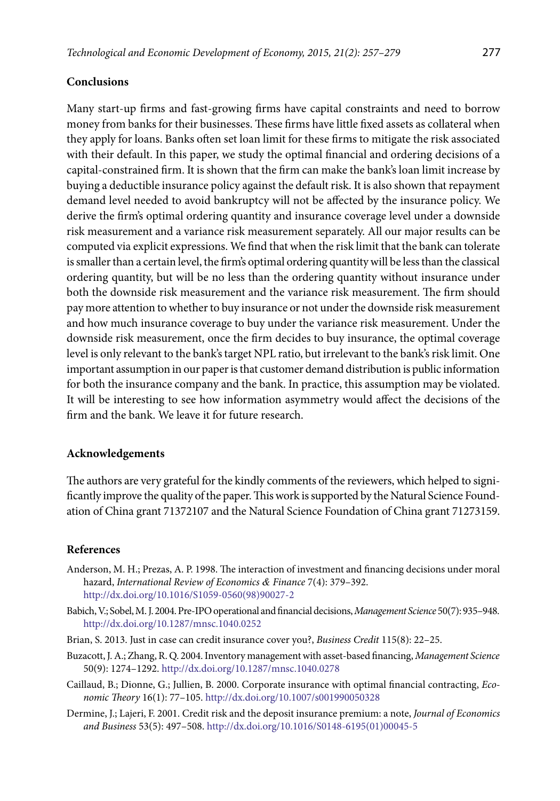# **Conclusions**

Many start-up firms and fast-growing firms have capital constraints and need to borrow money from banks for their businesses. These firms have little fixed assets as collateral when they apply for loans. Banks often set loan limit for these firms to mitigate the risk associated with their default. In this paper, we study the optimal financial and ordering decisions of a capital-constrained firm. It is shown that the firm can make the bank's loan limit increase by buying a deductible insurance policy against the default risk. It is also shown that repayment demand level needed to avoid bankruptcy will not be affected by the insurance policy. We derive the firm's optimal ordering quantity and insurance coverage level under a downside risk measurement and a variance risk measurement separately. All our major results can be computed via explicit expressions. We find that when the risk limit that the bank can tolerate is smaller than a certain level, the firm's optimal ordering quantity will be less than the classical ordering quantity, but will be no less than the ordering quantity without insurance under both the downside risk measurement and the variance risk measurement. The firm should pay more attention to whether to buy insurance or not under the downside risk measurement and how much insurance coverage to buy under the variance risk measurement. Under the downside risk measurement, once the firm decides to buy insurance, the optimal coverage level is only relevant to the bank's target NPL ratio, but irrelevant to the bank's risk limit. One important assumption in our paper is that customer demand distribution is public information for both the insurance company and the bank. In practice, this assumption may be violated. It will be interesting to see how information asymmetry would affect the decisions of the firm and the bank. We leave it for future research.

### **Acknowledgements**

The authors are very grateful for the kindly comments of the reviewers, which helped to significantly improve the quality of the paper. This work is supported by the Natural Science Foundation of China grant 71372107 and the Natural Science Foundation of China grant 71273159.

# **References**

- Anderson, M. H.; Prezas, A. P. 1998. The interaction of investment and financing decisions under moral hazard, *International Review of Economics & Finance* 7(4): 379–392. [http://dx.doi.org/10.1016/S1059-0560\(98\)90027-2](http://dx.doi.org/10.1016/S1059-0560(98)90027-2)
- Babich, V.; Sobel, M. J. 2004. Pre-IPO operational and financial decisions, *Management Science* 50(7): 935–948. <http://dx.doi.org/10.1287/mnsc.1040.0252>
- Brian, S. 2013. Just in case can credit insurance cover you?, *Business Credit* 115(8): 22–25.
- Buzacott, J. A.; Zhang, R. Q. 2004. Inventory management with asset-based financing, *Management Science* 50(9): 1274–1292.<http://dx.doi.org/10.1287/mnsc.1040.0278>
- Caillaud, B.; Dionne, G.; Jullien, B. 2000. Corporate insurance with optimal financial contracting, *Economic Theory* 16(1): 77–105. <http://dx.doi.org/10.1007/s001990050328>
- Dermine, J.; Lajeri, F. 2001. Credit risk and the deposit insurance premium: a note, *Journal of Economics and Business* 53(5): 497–508. [http://dx.doi.org/10.1016/S0148-6195\(01\)00045-5](http://dx.doi.org/10.1016/S0148-6195(01)00045-5)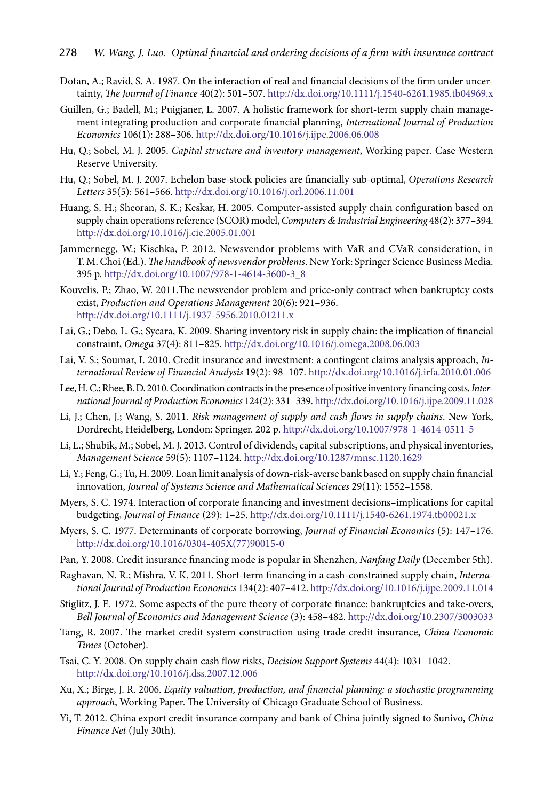- Dotan, A.; Ravid, S. A. 1987. On the interaction of real and financial decisions of the firm under uncertainty, *The Journal of Finance* 40(2): 501–507. <http://dx.doi.org/10.1111/j.1540-6261.1985.tb04969.x>
- Guillen, G.; Badell, M.; Puigjaner, L. 2007. A holistic framework for short-term supply chain management integrating production and corporate financial planning, *International Journal of Production Economics* 106(1): 288–306. <http://dx.doi.org/10.1016/j.ijpe.2006.06.008>
- Hu, Q.; Sobel, M. J. 2005. *Capital structure and inventory management*, Working paper*.* Case Western Reserve University.
- Hu, Q.; Sobel, M. J. 2007. Echelon base-stock policies are financially sub-optimal, *Operations Research Letters* 35(5): 561–566. <http://dx.doi.org/10.1016/j.orl.2006.11.001>
- Huang, S. H.; Sheoran, S. K.; Keskar, H. 2005. Computer-assisted supply chain configuration based on supply chain operations reference (SCOR) model, *Computers & [Industrial Engineering](http://www.sciencedirect.com/science/journal/03608352)* 48(2): 377–394. <http://dx.doi.org/10.1016/j.cie.2005.01.001>
- Jammernegg, W.; Kischka, P. 2012. Newsvendor problems with VaR and CVaR consideration, in T. M. Choi (Ed.). *The handbook of newsvendor problems*. New York: Springer Science Business Media. 395 p. [http://dx.doi.org/10.1007/978-1-4614-3600-3\\_8](http://dx.doi.org/10.1007/978-1-4614-3600-3_8)
- Kouvelis, P.; Zhao, W. 2011.The newsvendor problem and price-only contract when bankruptcy costs exist, *Production and Operations Management* 20(6): 921–936. <http://dx.doi.org/10.1111/j.1937-5956.2010.01211.x>
- Lai, G.; Debo, L. G.; Sycara, K. 2009. Sharing inventory risk in supply chain: the implication of financial constraint, *Omega* 37(4): 811–825. <http://dx.doi.org/10.1016/j.omega.2008.06.003>
- Lai, V. S.; Soumar, I. 2010. Credit insurance and investment: a contingent claims analysis approach, *International Review of Financial Analysis* 19(2): 98–107.<http://dx.doi.org/10.1016/j.irfa.2010.01.006>
- Lee, H. C.; Rhee, B. D. 2010. Coordination contracts in the presence of positive inventory financing costs, *International Journal of Production Economics* 124(2): 331–339.<http://dx.doi.org/10.1016/j.ijpe.2009.11.028>
- Li, J.; Chen, J.; Wang, S. 2011. *Risk management of supply and cash flows in supply chains*. New York, Dordrecht, Heidelberg, London: Springer. 202 p. <http://dx.doi.org/10.1007/978-1-4614-0511-5>
- Li, L.; Shubik, M.; Sobel, M. J. 2013. Control of dividends, capital subscriptions, and physical inventories, *Management Science* 59(5): 1107–1124. <http://dx.doi.org/10.1287/mnsc.1120.1629>
- Li, Y.; Feng, G.; Tu, H. 2009. Loan limit analysis of down-risk-averse bank based on supply chain financial innovation, *Journal of Systems Science and Mathematical Sciences* 29(11): 1552–1558.
- Myers, S. C. 1974. Interaction of corporate financing and investment decisions–implications for capital budgeting, *Journal of Finance* (29): 1–25. <http://dx.doi.org/10.1111/j.1540-6261.1974.tb00021.x>
- Myers, S. C. 1977. Determinants of corporate borrowing, *Journal of Financial Economics* (5): 147–176. [http://dx.doi.org/10.1016/0304-405X\(77\)90015-0](http://dx.doi.org/10.1016/0304-405X(77)90015-0)
- Pan, Y. 2008. Credit insurance financing mode is popular in Shenzhen, *Nanfang Daily* (December 5th).
- Raghavan, N. R.; Mishra, V. K. 2011. Short-term financing in a cash-constrained supply chain, *International Journal of Production Economics* 134(2): 407–412.<http://dx.doi.org/10.1016/j.ijpe.2009.11.014>
- Stiglitz, J. E. 1972. Some aspects of the pure theory of corporate finance: bankruptcies and take-overs, *Bell Journal of Economics and Management Science* (3): 458–482.<http://dx.doi.org/10.2307/3003033>
- Tang, R. 2007. The market credit system construction using trade credit insurance, *China Economic Times* (October).
- Tsai, C. Y. 2008. On supply chain cash flow risks, *Decision Support Systems* 44(4): 1031-1042. <http://dx.doi.org/10.1016/j.dss.2007.12.006>
- Xu, X.; Birge, J. R. 2006. *Equity valuation, production, and financial planning: a stochastic programming approach*, Working Paper. The University of Chicago Graduate School of Business.
- Yi, T. 2012. China export credit insurance company and bank of China jointly signed to Sunivo, *China Finance Net* (July 30th).